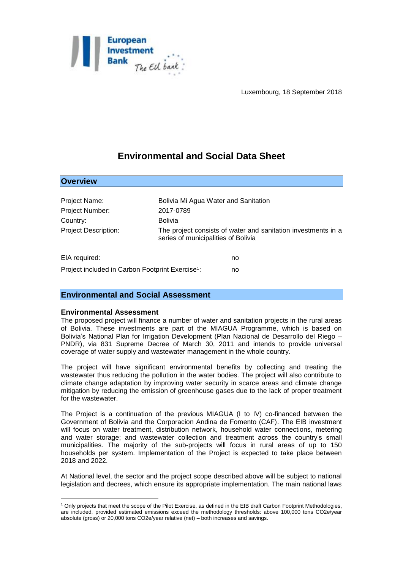

# **Environmental and Social Data Sheet**

| Project Name:                                                | Bolivia Mi Agua Water and Sanitation |                                                               |
|--------------------------------------------------------------|--------------------------------------|---------------------------------------------------------------|
| Project Number:                                              | 2017-0789                            |                                                               |
| Country:                                                     | <b>Bolivia</b>                       |                                                               |
| <b>Project Description:</b>                                  | series of municipalities of Bolivia  | The project consists of water and sanitation investments in a |
| EIA required:                                                |                                      | no                                                            |
| Project included in Carbon Footprint Exercise <sup>1</sup> : |                                      | no                                                            |

## **Environmental and Social Assessment**

## **Environmental Assessment**

**Overview**

<u>.</u>

The proposed project will finance a number of water and sanitation projects in the rural areas of Bolivia. These investments are part of the MIAGUA Programme, which is based on Bolivia's National Plan for Irrigation Development (Plan Nacional de Desarrollo del Riego – PNDR), via 831 Supreme Decree of March 30, 2011 and intends to provide universal coverage of water supply and wastewater management in the whole country.

The project will have significant environmental benefits by collecting and treating the wastewater thus reducing the pollution in the water bodies. The project will also contribute to climate change adaptation by improving water security in scarce areas and climate change mitigation by reducing the emission of greenhouse gases due to the lack of proper treatment for the wastewater.

The Project is a continuation of the previous MIAGUA (I to IV) co-financed between the Government of Bolivia and the Corporacion Andina de Fomento (CAF). The EIB investment will focus on water treatment, distribution network, household water connections, metering and water storage; and wastewater collection and treatment across the country's small municipalities. The majority of the sub-projects will focus in rural areas of up to 150 households per system. Implementation of the Project is expected to take place between 2018 and 2022.

At National level, the sector and the project scope described above will be subject to national legislation and decrees, which ensure its appropriate implementation. The main national laws

<sup>1</sup> Only projects that meet the scope of the Pilot Exercise, as defined in the EIB draft Carbon Footprint Methodologies, are included, provided estimated emissions exceed the methodology thresholds: above 100,000 tons CO2e/year absolute (gross) or 20,000 tons CO2e/year relative (net) – both increases and savings.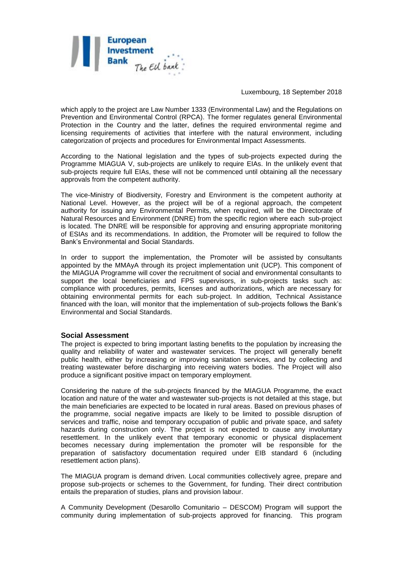

which apply to the project are Law Number 1333 (Environmental Law) and the Regulations on Prevention and Environmental Control (RPCA). The former regulates general Environmental Protection in the Country and the latter, defines the required environmental regime and licensing requirements of activities that interfere with the natural environment, including categorization of projects and procedures for Environmental Impact Assessments.

According to the National legislation and the types of sub-projects expected during the Programme MIAGUA V, sub-projects are unlikely to require EIAs. In the unlikely event that sub-projects require full EIAs, these will not be commenced until obtaining all the necessary approvals from the competent authority.

The vice-Ministry of Biodiversity, Forestry and Environment is the competent authority at National Level. However, as the project will be of a regional approach, the competent authority for issuing any Environmental Permits, when required, will be the Directorate of Natural Resources and Environment (DNRE) from the specific region where each sub-project is located. The DNRE will be responsible for approving and ensuring appropriate monitoring of ESIAs and its recommendations. In addition, the Promoter will be required to follow the Bank's Environmental and Social Standards.

In order to support the implementation, the Promoter will be assisted by consultants appointed by the MMAyA through its project implementation unit (UCP). This component of the MIAGUA Programme will cover the recruitment of social and environmental consultants to support the local beneficiaries and FPS supervisors, in sub-projects tasks such as: compliance with procedures, permits, licenses and authorizations, which are necessary for obtaining environmental permits for each sub-project. In addition, Technical Assistance financed with the loan, will monitor that the implementation of sub-projects follows the Bank's Environmental and Social Standards.

#### **Social Assessment**

The project is expected to bring important lasting benefits to the population by increasing the quality and reliability of water and wastewater services. The project will generally benefit public health, either by increasing or improving sanitation services, and by collecting and treating wastewater before discharging into receiving waters bodies. The Project will also produce a significant positive impact on temporary employment.

Considering the nature of the sub-projects financed by the MIAGUA Programme, the exact location and nature of the water and wastewater sub-projects is not detailed at this stage, but the main beneficiaries are expected to be located in rural areas. Based on previous phases of the programme, social negative impacts are likely to be limited to possible disruption of services and traffic, noise and temporary occupation of public and private space, and safety hazards during construction only. The project is not expected to cause any involuntary resettlement. In the unlikely event that temporary economic or physical displacement becomes necessary during implementation the promoter will be responsible for the preparation of satisfactory documentation required under EIB standard 6 (including resettlement action plans).

The MIAGUA program is demand driven. Local communities collectively agree, prepare and propose sub-projects or schemes to the Government, for funding. Their direct contribution entails the preparation of studies, plans and provision labour.

A Community Development (Desarollo Comunitario – DESCOM) Program will support the community during implementation of sub-projects approved for financing. This program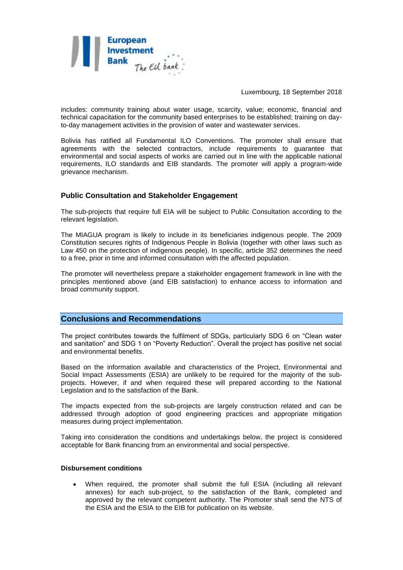

includes: community training about water usage, scarcity, value; economic, financial and technical capacitation for the community based enterprises to be established; training on dayto-day management activities in the provision of water and wastewater services.

Bolivia has ratified all Fundamental ILO Conventions. The promoter shall ensure that agreements with the selected contractors, include requirements to guarantee that environmental and social aspects of works are carried out in line with the applicable national requirements, ILO standards and EIB standards. The promoter will apply a program-wide grievance mechanism.

## **Public Consultation and Stakeholder Engagement**

The sub-projects that require full EIA will be subject to Public Consultation according to the relevant legislation.

The MIAGUA program is likely to include in its beneficiaries indigenous people. The 2009 Constitution secures rights of Indigenous People in Bolivia (together with other laws such as Law 450 on the protection of indigenous people). In specific, article 352 determines the need to a free, prior in time and informed consultation with the affected population.

The promoter will nevertheless prepare a stakeholder engagement framework in line with the principles mentioned above (and EIB satisfaction) to enhance access to information and broad community support.

## **Conclusions and Recommendations**

The project contributes towards the fulfilment of SDGs, particularly SDG 6 on "Clean water and sanitation" and SDG 1 on "Poverty Reduction". Overall the project has positive net social and environmental benefits.

Based on the information available and characteristics of the Project, Environmental and Social Impact Assessments (ESIA) are unlikely to be required for the majority of the subprojects. However, if and when required these will prepared according to the National Legislation and to the satisfaction of the Bank.

The impacts expected from the sub-projects are largely construction related and can be addressed through adoption of good engineering practices and appropriate mitigation measures during project implementation.

Taking into consideration the conditions and undertakings below, the project is considered acceptable for Bank financing from an environmental and social perspective.

#### **Disbursement conditions**

 When required, the promoter shall submit the full ESIA (including all relevant annexes) for each sub-project, to the satisfaction of the Bank, completed and approved by the relevant competent authority. The Promoter shall send the NTS of the ESIA and the ESIA to the EIB for publication on its website.